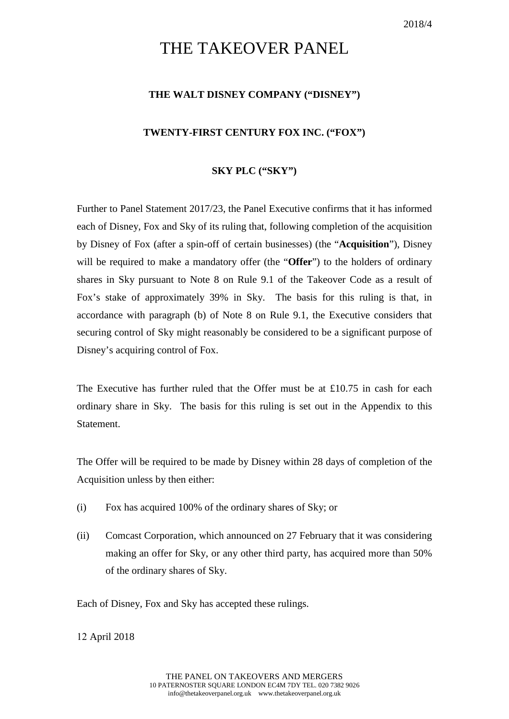# THE TAKEOVER PANEL

### **THE WALT DISNEY COMPANY ("DISNEY")**

#### **TWENTY-FIRST CENTURY FOX INC. ("FOX")**

#### **SKY PLC ("SKY")**

Further to Panel Statement 2017/23, the Panel Executive confirms that it has informed each of Disney, Fox and Sky of its ruling that, following completion of the acquisition by Disney of Fox (after a spin-off of certain businesses) (the "**Acquisition**"), Disney will be required to make a mandatory offer (the "**Offer**") to the holders of ordinary shares in Sky pursuant to Note 8 on Rule 9.1 of the Takeover Code as a result of Fox's stake of approximately 39% in Sky. The basis for this ruling is that, in accordance with paragraph (b) of Note 8 on Rule 9.1, the Executive considers that securing control of Sky might reasonably be considered to be a significant purpose of Disney's acquiring control of Fox.

The Executive has further ruled that the Offer must be at £10.75 in cash for each ordinary share in Sky. The basis for this ruling is set out in the Appendix to this Statement.

The Offer will be required to be made by Disney within 28 days of completion of the Acquisition unless by then either:

- (i) Fox has acquired 100% of the ordinary shares of Sky; or
- (ii) Comcast Corporation, which announced on 27 February that it was considering making an offer for Sky, or any other third party, has acquired more than 50% of the ordinary shares of Sky.

Each of Disney, Fox and Sky has accepted these rulings.

12 April 2018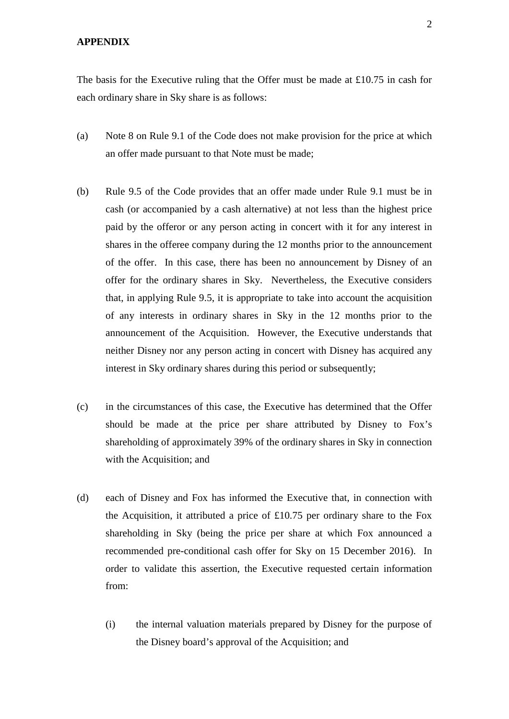## **APPENDIX**

The basis for the Executive ruling that the Offer must be made at £10.75 in cash for each ordinary share in Sky share is as follows:

- (a) Note 8 on Rule 9.1 of the Code does not make provision for the price at which an offer made pursuant to that Note must be made;
- (b) Rule 9.5 of the Code provides that an offer made under Rule 9.1 must be in cash (or accompanied by a cash alternative) at not less than the highest price paid by the offeror or any person acting in concert with it for any interest in shares in the offeree company during the 12 months prior to the announcement of the offer. In this case, there has been no announcement by Disney of an offer for the ordinary shares in Sky. Nevertheless, the Executive considers that, in applying Rule 9.5, it is appropriate to take into account the acquisition of any interests in ordinary shares in Sky in the 12 months prior to the announcement of the Acquisition. However, the Executive understands that neither Disney nor any person acting in concert with Disney has acquired any interest in Sky ordinary shares during this period or subsequently;
- (c) in the circumstances of this case, the Executive has determined that the Offer should be made at the price per share attributed by Disney to Fox's shareholding of approximately 39% of the ordinary shares in Sky in connection with the Acquisition; and
- (d) each of Disney and Fox has informed the Executive that, in connection with the Acquisition, it attributed a price of  $£10.75$  per ordinary share to the Fox shareholding in Sky (being the price per share at which Fox announced a recommended pre-conditional cash offer for Sky on 15 December 2016). In order to validate this assertion, the Executive requested certain information from:
	- (i) the internal valuation materials prepared by Disney for the purpose of the Disney board's approval of the Acquisition; and